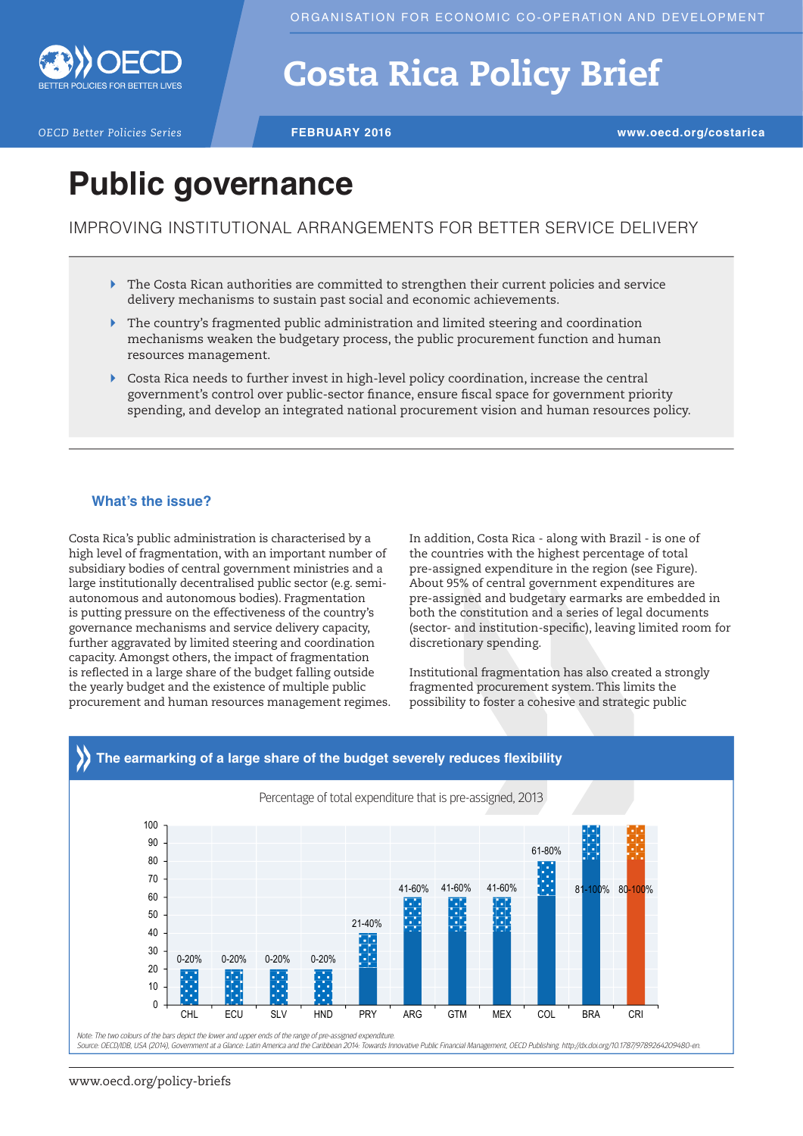

# Costa Rica Policy Brief

*OECD Better Policies Series* **FEBRUARY 2016 www.oecd.org/costarica**

# **Public governance**

## IMPROVING INSTITUTIONAL ARRANGEMENTS FOR BETTER SERVICE DELIVERY

- $\blacktriangleright$  The Costa Rican authorities are committed to strengthen their current policies and service delivery mechanisms to sustain past social and economic achievements.
- $\blacktriangleright$  The country's fragmented public administration and limited steering and coordination mechanisms weaken the budgetary process, the public procurement function and human resources management.
- ` Costa Rica needs to further invest in high-level policy coordination, increase the central government's control over public-sector fnance, ensure fscal space for government priority spending, and develop an integrated national procurement vision and human resources policy.

### **What's the issue?**

Costa Rica's public administration is characterised by a high level of fragmentation, with an important number of subsidiary bodies of central government ministries and a large institutionally decentralised public sector (e.g. semiautonomous and autonomous bodies). Fragmentation is putting pressure on the effectiveness of the country's governance mechanisms and service delivery capacity, further aggravated by limited steering and coordination capacity. Amongst others, the impact of fragmentation is refected in a large share of the budget falling outside the yearly budget and the existence of multiple public procurement and human resources management regimes. In addition, Costa Rica - along with Brazil - is one of the countries with the highest percentage of total pre-assigned expenditure in the region (see Figure). About 95% of central government expenditures are pre-assigned and budgetary earmarks are embedded in both the constitution and a series of legal documents (sector- and institution-specifc), leaving limited room for discretionary spending.

Institutional fragmentation has also created a strongly fragmented procurement system. This limits the possibility to foster a cohesive and strategic public



#### www.oecd.org/policy-briefs